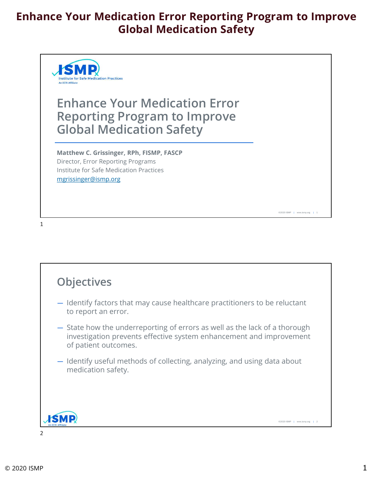

# Enhance Your Medication Error Reporting Program to Improve Global Medication Safety

Matthew C. Grissinger, RPh, FISMP, FASCP<br>Director, Error Reporting Programs<br>Institute for Safe Medication Practices<br>mgrissinger@ismp.org<br>examples and consider provided and consider process and provided and consider provide Director, Error Reporting Programs Institute for Safe Medication Practices mgrissinger@ismp.org

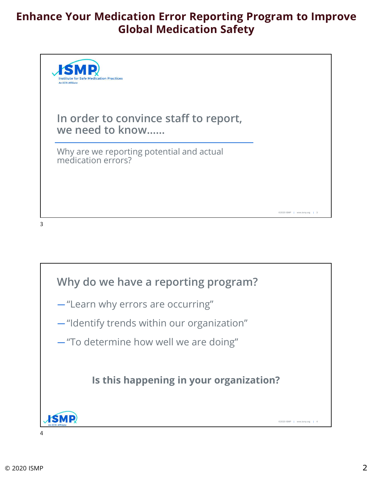

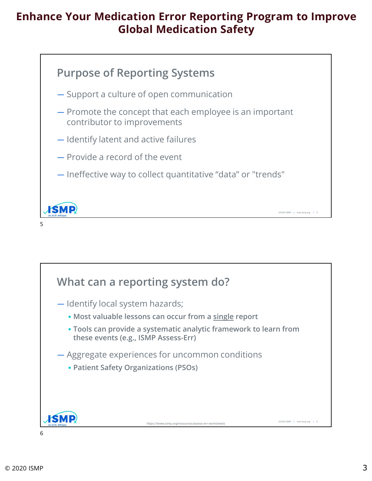

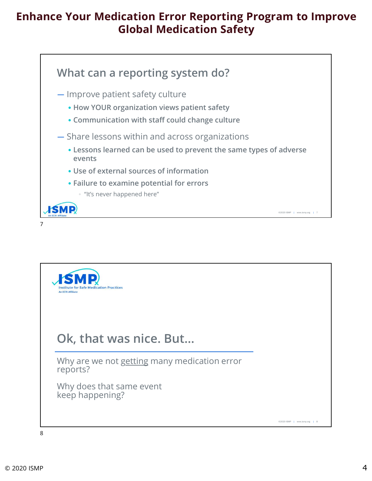

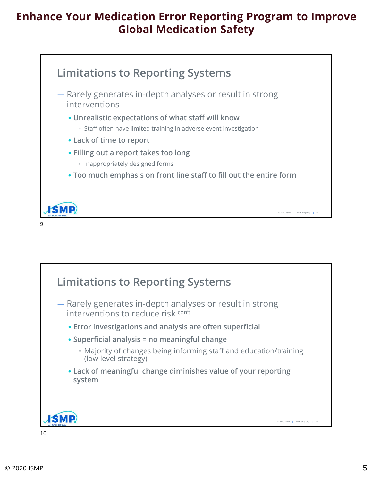

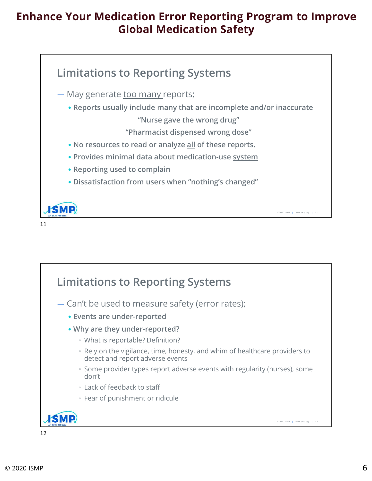

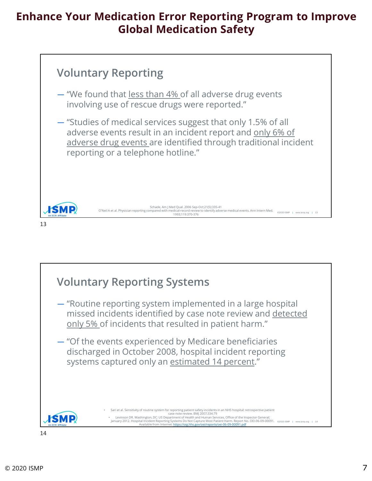

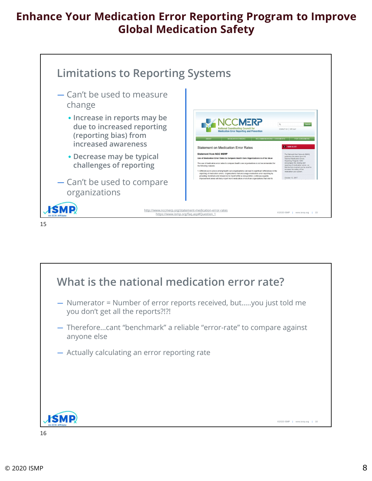

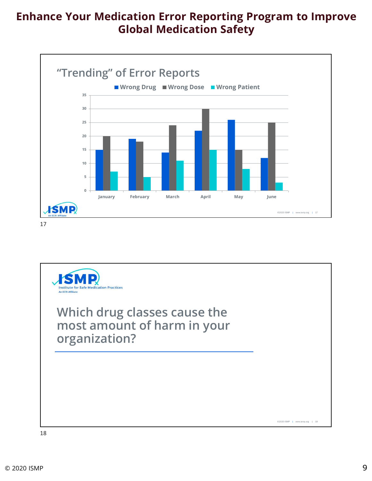

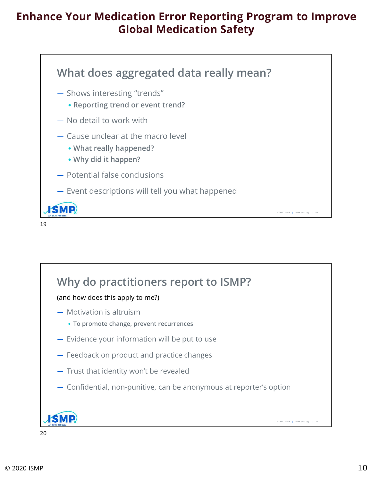

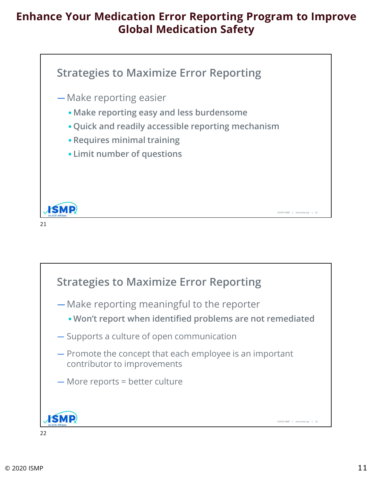

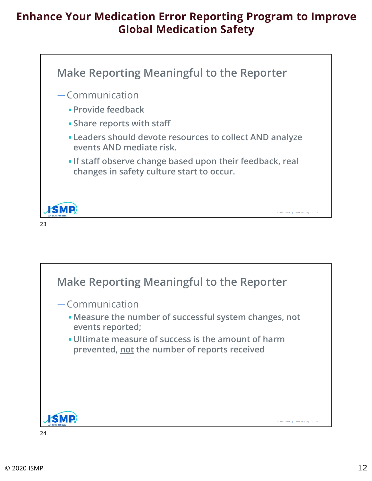

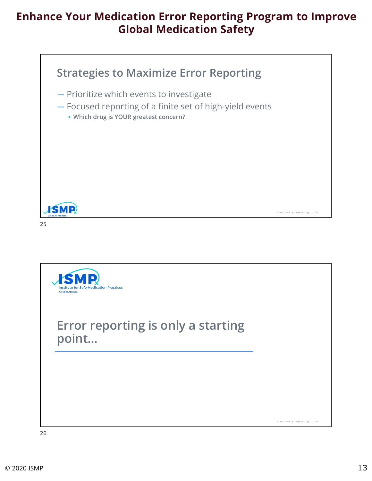

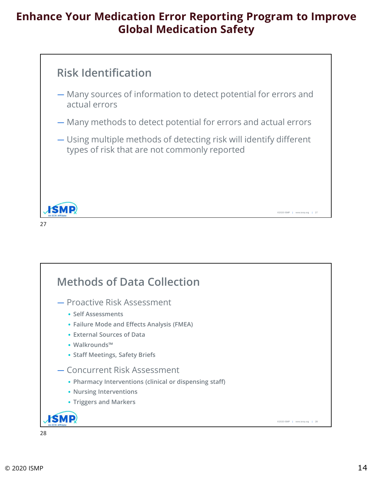

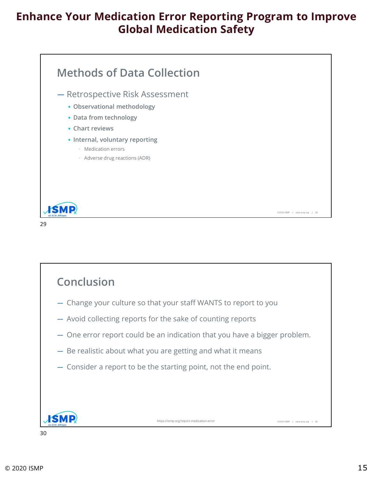